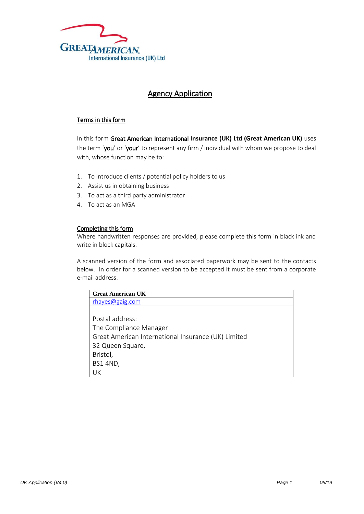

## Agency Application

## Terms in this form

In this form Great American International **Insurance (UK) Ltd (Great American UK)** uses the term 'you' or 'your' to represent any firm / individual with whom we propose to deal with, whose function may be to:

- 1. To introduce clients / potential policy holders to us
- 2. Assist us in obtaining business
- 3. To act as a third party administrator
- 4. To act as an MGA

## Completing this form

Where handwritten responses are provided, please complete this form in black ink and write in block capitals.

A scanned version of the form and associated paperwork may be sent to the contacts below. In order for a scanned version to be accepted it must be sent from a corporate e-mail address.

| <b>Great American UK</b>                            |
|-----------------------------------------------------|
| rhayes@gaig.com                                     |
|                                                     |
| Postal address:                                     |
| The Compliance Manager                              |
| Great American International Insurance (UK) Limited |
| 32 Queen Square,                                    |
| Bristol,                                            |
| <b>BS1 4ND,</b>                                     |
| UK                                                  |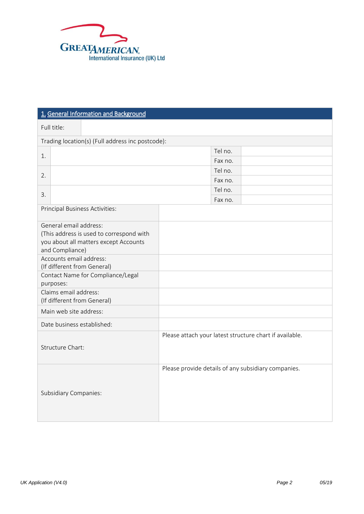

| 1. General Information and Background                                                                                                                                                                                                                                                                                        |                                                         |  |  |  |  |
|------------------------------------------------------------------------------------------------------------------------------------------------------------------------------------------------------------------------------------------------------------------------------------------------------------------------------|---------------------------------------------------------|--|--|--|--|
| Full title:                                                                                                                                                                                                                                                                                                                  |                                                         |  |  |  |  |
| Trading location(s) (Full address inc postcode):                                                                                                                                                                                                                                                                             |                                                         |  |  |  |  |
|                                                                                                                                                                                                                                                                                                                              | Tel no.                                                 |  |  |  |  |
| 1.                                                                                                                                                                                                                                                                                                                           | Fax no.                                                 |  |  |  |  |
| 2.                                                                                                                                                                                                                                                                                                                           | Tel no.                                                 |  |  |  |  |
|                                                                                                                                                                                                                                                                                                                              | Fax no.                                                 |  |  |  |  |
| 3.                                                                                                                                                                                                                                                                                                                           | Tel no.                                                 |  |  |  |  |
|                                                                                                                                                                                                                                                                                                                              | Fax no.                                                 |  |  |  |  |
| Principal Business Activities:                                                                                                                                                                                                                                                                                               |                                                         |  |  |  |  |
| General email address:<br>(This address is used to correspond with<br>you about all matters except Accounts<br>and Compliance)<br>Accounts email address:<br>(If different from General)<br>Contact Name for Compliance/Legal<br>purposes:<br>Claims email address:<br>(If different from General)<br>Main web site address: |                                                         |  |  |  |  |
| Date business established:                                                                                                                                                                                                                                                                                                   |                                                         |  |  |  |  |
| <b>Structure Chart:</b>                                                                                                                                                                                                                                                                                                      | Please attach your latest structure chart if available. |  |  |  |  |
| <b>Subsidiary Companies:</b>                                                                                                                                                                                                                                                                                                 | Please provide details of any subsidiary companies.     |  |  |  |  |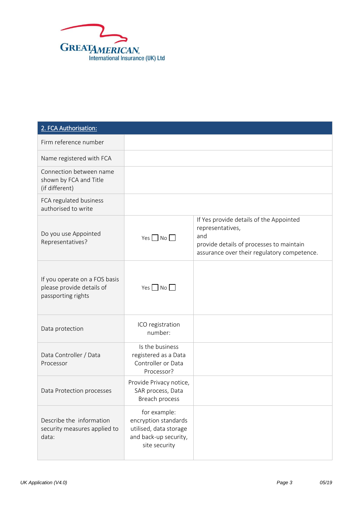

| 2. FCA Authorisation:                                                            |                                                                                                          |                                                                                                                                                               |
|----------------------------------------------------------------------------------|----------------------------------------------------------------------------------------------------------|---------------------------------------------------------------------------------------------------------------------------------------------------------------|
| Firm reference number                                                            |                                                                                                          |                                                                                                                                                               |
| Name registered with FCA                                                         |                                                                                                          |                                                                                                                                                               |
| Connection between name<br>shown by FCA and Title<br>(if different)              |                                                                                                          |                                                                                                                                                               |
| FCA regulated business<br>authorised to write                                    |                                                                                                          |                                                                                                                                                               |
| Do you use Appointed<br>Representatives?                                         | $Yes \Box No \Box$                                                                                       | If Yes provide details of the Appointed<br>representatives,<br>and<br>provide details of processes to maintain<br>assurance over their regulatory competence. |
| If you operate on a FOS basis<br>please provide details of<br>passporting rights | Yes $\n  No\n  o$                                                                                        |                                                                                                                                                               |
| Data protection                                                                  | ICO registration<br>number:                                                                              |                                                                                                                                                               |
| Data Controller / Data<br>Processor                                              | Is the business<br>registered as a Data<br>Controller or Data<br>Processor?                              |                                                                                                                                                               |
| Data Protection processes                                                        | Provide Privacy notice,<br>SAR process, Data<br>Breach process                                           |                                                                                                                                                               |
| Describe the information<br>security measures applied to<br>data:                | for example:<br>encryption standards<br>utilised, data storage<br>and back-up security,<br>site security |                                                                                                                                                               |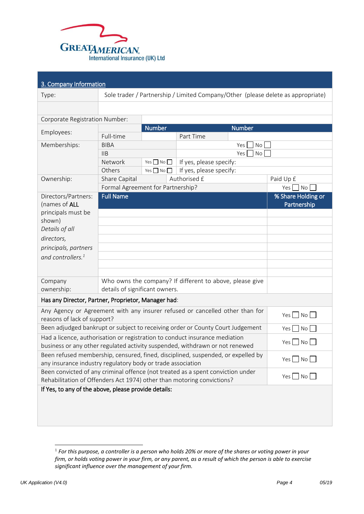

| 3. Company Information                                                                                                                                                          |                                   |                      |                                                          |                  |                                                                                  |
|---------------------------------------------------------------------------------------------------------------------------------------------------------------------------------|-----------------------------------|----------------------|----------------------------------------------------------|------------------|----------------------------------------------------------------------------------|
| Type:                                                                                                                                                                           |                                   |                      |                                                          |                  | Sole trader / Partnership / Limited Company/Other (please delete as appropriate) |
|                                                                                                                                                                                 |                                   |                      |                                                          |                  |                                                                                  |
| Corporate Registration Number:                                                                                                                                                  |                                   |                      |                                                          |                  |                                                                                  |
| Employees:                                                                                                                                                                      |                                   | <b>Number</b>        |                                                          | Number           |                                                                                  |
|                                                                                                                                                                                 | Full-time                         |                      | Part Time                                                |                  |                                                                                  |
| Memberships:                                                                                                                                                                    | <b>BIBA</b>                       |                      |                                                          | <b>No</b><br>Yes |                                                                                  |
|                                                                                                                                                                                 | IIB                               |                      |                                                          | Yes<br>No        |                                                                                  |
|                                                                                                                                                                                 | Network                           | Yes $\Box$ No $\Box$ | If yes, please specify:                                  |                  |                                                                                  |
|                                                                                                                                                                                 | Others                            | Yes $\Box$ No $\Box$ | If yes, please specify:                                  |                  |                                                                                  |
| Ownership:                                                                                                                                                                      | Share Capital                     |                      | Authorised £                                             |                  | Paid Up £                                                                        |
|                                                                                                                                                                                 | Formal Agreement for Partnership? |                      |                                                          |                  | $Yes \tNo$                                                                       |
| Directors/Partners:<br>(names of ALL                                                                                                                                            | <b>Full Name</b>                  |                      |                                                          |                  | % Share Holding or<br>Partnership                                                |
| principals must be                                                                                                                                                              |                                   |                      |                                                          |                  |                                                                                  |
| shown)                                                                                                                                                                          |                                   |                      |                                                          |                  |                                                                                  |
| Details of all                                                                                                                                                                  |                                   |                      |                                                          |                  |                                                                                  |
| directors,                                                                                                                                                                      |                                   |                      |                                                          |                  |                                                                                  |
| principals, partners                                                                                                                                                            |                                   |                      |                                                          |                  |                                                                                  |
| and controllers. <sup>1</sup>                                                                                                                                                   |                                   |                      |                                                          |                  |                                                                                  |
|                                                                                                                                                                                 |                                   |                      |                                                          |                  |                                                                                  |
|                                                                                                                                                                                 |                                   |                      |                                                          |                  |                                                                                  |
| Company                                                                                                                                                                         |                                   |                      | Who owns the company? If different to above, please give |                  |                                                                                  |
| ownership:                                                                                                                                                                      | details of significant owners.    |                      |                                                          |                  |                                                                                  |
| Has any Director, Partner, Proprietor, Manager had:                                                                                                                             |                                   |                      |                                                          |                  |                                                                                  |
| Any Agency or Agreement with any insurer refused or cancelled other than for<br>reasons of lack of support?                                                                     |                                   |                      |                                                          |                  | Yes $\neg$ No $\neg$                                                             |
| Been adjudged bankrupt or subject to receiving order or County Court Judgement                                                                                                  |                                   |                      |                                                          |                  | No <sub>1</sub><br>$Yes$                                                         |
| Had a licence, authorisation or registration to conduct insurance mediation<br>$Yes$ $No$<br>business or any other regulated activity suspended, withdrawn or not renewed       |                                   |                      |                                                          |                  |                                                                                  |
| Been refused membership, censured, fined, disciplined, suspended, or expelled by<br>Yes $\Box$ No $\Box$<br>any insurance industry regulatory body or trade association         |                                   |                      |                                                          |                  |                                                                                  |
| Been convicted of any criminal offence (not treated as a spent conviction under<br>$Yes \Box No \Box$<br>Rehabilitation of Offenders Act 1974) other than motoring convictions? |                                   |                      |                                                          |                  |                                                                                  |
| If Yes, to any of the above, please provide details:                                                                                                                            |                                   |                      |                                                          |                  |                                                                                  |

-

<sup>&</sup>lt;sup>1</sup> For this purpose, a controller is a person who holds 20% or more of the shares or voting power in your *firm, or holds voting power in your firm, or any parent, as a result of which the person is able to exercise significant influence over the management of your firm.*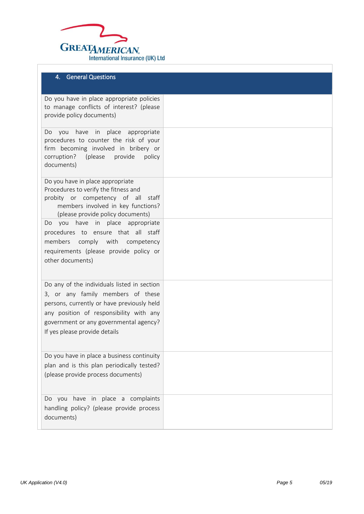

## 4. General Questions

| Do you have in place appropriate policies<br>to manage conflicts of interest? (please<br>provide policy documents)                                                                            |  |
|-----------------------------------------------------------------------------------------------------------------------------------------------------------------------------------------------|--|
| in place<br>have<br>appropriate<br>you<br>Do.<br>procedures to counter the risk of your<br>firm becoming involved in bribery or<br>corruption?<br>(please)<br>provide<br>policy<br>documents) |  |
| Do you have in place appropriate<br>Procedures to verify the fitness and<br>probity or competency of all<br>staff<br>members involved in key functions?<br>(please provide policy documents)  |  |
| you have in place appropriate<br>Do.<br>procedures to ensure that all staff                                                                                                                   |  |
| members comply with<br>competency                                                                                                                                                             |  |
| requirements (please provide policy or                                                                                                                                                        |  |
| other documents)                                                                                                                                                                              |  |
| Do any of the individuals listed in section                                                                                                                                                   |  |
| 3, or any family members of these<br>persons, currently or have previously held                                                                                                               |  |
| any position of responsibility with any                                                                                                                                                       |  |
| government or any governmental agency?                                                                                                                                                        |  |
| If yes please provide details                                                                                                                                                                 |  |
| Do you have in place a business continuity                                                                                                                                                    |  |
| plan and is this plan periodically tested?<br>(please provide process documents)                                                                                                              |  |
|                                                                                                                                                                                               |  |
| Do you have in place a complaints                                                                                                                                                             |  |
| handling policy? (please provide process<br>documents)                                                                                                                                        |  |
|                                                                                                                                                                                               |  |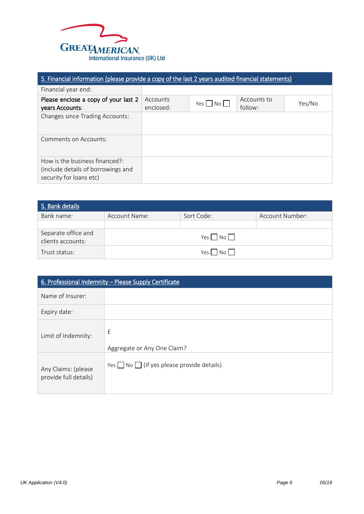

| 5. Financial information (please provide a copy of the last 2 years audited financial statements) |                       |            |                        |        |
|---------------------------------------------------------------------------------------------------|-----------------------|------------|------------------------|--------|
| Financial year end:                                                                               |                       |            |                        |        |
| Please enclose a copy of your last 2<br>years Accounts:                                           | Accounts<br>enclosed: | Yes     No | Accounts to<br>follow: | Yes/No |
| <b>Changes since Trading Accounts:</b>                                                            |                       |            |                        |        |
| Comments on Accounts:                                                                             |                       |            |                        |        |
| How is the business financed?:<br>(include details of borrowings and<br>security for loans etc)   |                       |            |                        |        |

| 5. Bank details                          |               |                   |                 |  |
|------------------------------------------|---------------|-------------------|-----------------|--|
| Bank name:                               | Account Name: | Sort Code:        | Account Number: |  |
| Separate office and<br>clients accounts: |               | Yes $\n  No \Box$ |                 |  |
| Trust status:                            |               | No    <br>Yes l   |                 |  |

| 6. Professional Indemnity - Please Supply Certificate |                                                      |  |  |
|-------------------------------------------------------|------------------------------------------------------|--|--|
| Name of Insurer:                                      |                                                      |  |  |
| Expiry date:                                          |                                                      |  |  |
| Limit of Indemnity:                                   | £<br>Aggregate or Any One Claim?                     |  |  |
| Any Claims: (please<br>provide full details)          | Yes $\Box$ No $\Box$ (If yes please provide details) |  |  |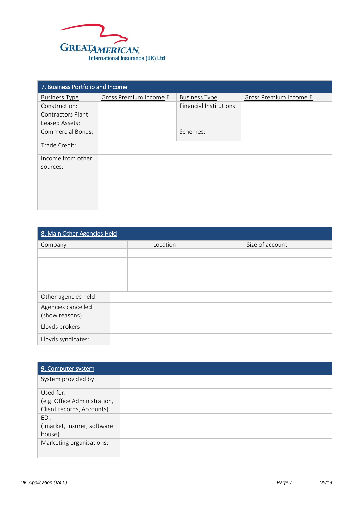

| 7. Business Portfolio and Income |                        |                         |                        |  |
|----------------------------------|------------------------|-------------------------|------------------------|--|
| <b>Business Type</b>             | Gross Premium Income £ | <b>Business Type</b>    | Gross Premium Income £ |  |
| Construction:                    |                        | Financial Institutions: |                        |  |
| <b>Contractors Plant:</b>        |                        |                         |                        |  |
| Leased Assets:                   |                        |                         |                        |  |
| <b>Commercial Bonds:</b>         |                        | Schemes:                |                        |  |
| Trade Credit:                    |                        |                         |                        |  |
| Income from other<br>sources:    |                        |                         |                        |  |

| 8. Main Other Agencies Held |          |                 |  |  |
|-----------------------------|----------|-----------------|--|--|
| Company                     | Location | Size of account |  |  |
|                             |          |                 |  |  |
|                             |          |                 |  |  |
|                             |          |                 |  |  |
|                             |          |                 |  |  |
|                             |          |                 |  |  |
| Other agencies held:        |          |                 |  |  |
| Agencies cancelled:         |          |                 |  |  |
| (show reasons)              |          |                 |  |  |
| Lloyds brokers:             |          |                 |  |  |
| Lloyds syndicates:          |          |                 |  |  |

| 9. Computer system                                                     |  |
|------------------------------------------------------------------------|--|
| System provided by:                                                    |  |
| Used for:<br>(e.g. Office Administration,<br>Client records, Accounts) |  |
| EDI:<br>(Imarket, Insurer, software<br>house)                          |  |
| Marketing organisations:                                               |  |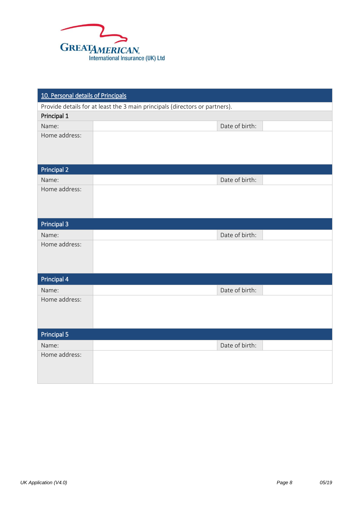

| 10. Personal details of Principals |                                                                             |  |  |  |  |
|------------------------------------|-----------------------------------------------------------------------------|--|--|--|--|
|                                    | Provide details for at least the 3 main principals (directors or partners). |  |  |  |  |
| Principal 1                        |                                                                             |  |  |  |  |
| Name:                              | Date of birth:                                                              |  |  |  |  |
| Home address:                      |                                                                             |  |  |  |  |
|                                    |                                                                             |  |  |  |  |
|                                    |                                                                             |  |  |  |  |
| <b>Principal 2</b>                 |                                                                             |  |  |  |  |
| Name:                              | Date of birth:                                                              |  |  |  |  |
| Home address:                      |                                                                             |  |  |  |  |
|                                    |                                                                             |  |  |  |  |
|                                    |                                                                             |  |  |  |  |
| Principal 3                        |                                                                             |  |  |  |  |
| Name:                              | Date of birth:                                                              |  |  |  |  |
| Home address:                      |                                                                             |  |  |  |  |
|                                    |                                                                             |  |  |  |  |
|                                    |                                                                             |  |  |  |  |
| <b>Principal 4</b>                 |                                                                             |  |  |  |  |
| Name:                              | Date of birth:                                                              |  |  |  |  |
| Home address:                      |                                                                             |  |  |  |  |
|                                    |                                                                             |  |  |  |  |
|                                    |                                                                             |  |  |  |  |
| <b>Principal 5</b>                 |                                                                             |  |  |  |  |
| Name:                              | Date of birth:                                                              |  |  |  |  |
| Home address:                      |                                                                             |  |  |  |  |
|                                    |                                                                             |  |  |  |  |
|                                    |                                                                             |  |  |  |  |
|                                    |                                                                             |  |  |  |  |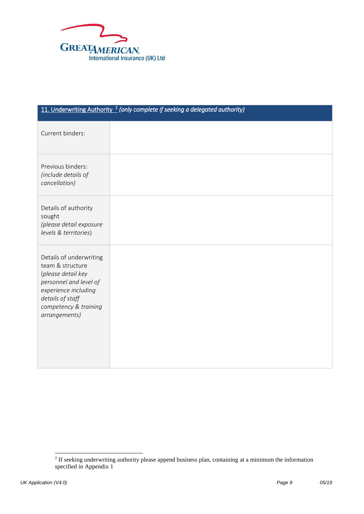

| 11. Underwriting Authority <sup>2</sup> (only complete if seeking a delegated authority)                                                                                          |  |
|-----------------------------------------------------------------------------------------------------------------------------------------------------------------------------------|--|
| Current binders:                                                                                                                                                                  |  |
| Previous binders:<br>(include details of<br>cancellation)                                                                                                                         |  |
| Details of authority<br>sought<br>(please detail exposure<br>levels & territories)                                                                                                |  |
| Details of underwriting<br>team & structure<br>(please detail key<br>personnel and level of<br>experience including<br>details of staff<br>competency & training<br>arrangements) |  |

<sup>&</sup>lt;sup>2</sup> If seeking underwriting authority please append business plan, containing at a minimum the information specified in Appendix 1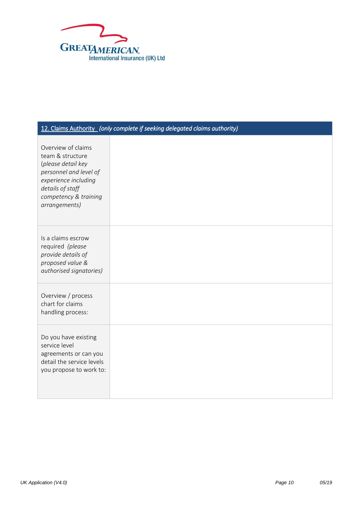

# 12. Claims Authority *(only complete if seeking delegated claims authority)* Overview of claims team & structure (*please detail key personnel and level of experience including details of staff competency & training arrangements)* Is a claims escrow required *(please provide details of proposed value & authorised signatories)* Overview / process chart for claims handling process: Do you have existing service level agreements or can you detail the service levels you propose to work to: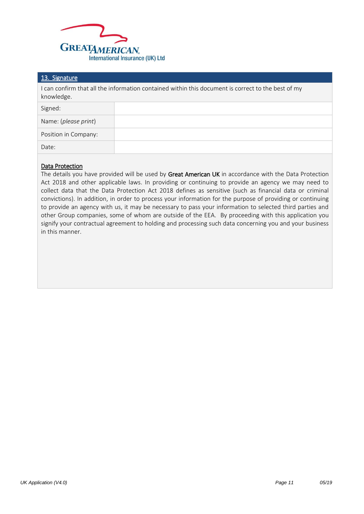

#### 13. Signature

I can confirm that all the information contained within this document is correct to the best of my knowledge.

| Signed:              |  |
|----------------------|--|
| Name: (please print) |  |
| Position in Company: |  |
| Date:                |  |

## Data Protection

The details you have provided will be used by Great American UK in accordance with the Data Protection Act 2018 and other applicable laws. In providing or continuing to provide an agency we may need to collect data that the Data Protection Act 2018 defines as sensitive (such as financial data or criminal convictions). In addition, in order to process your information for the purpose of providing or continuing to provide an agency with us, it may be necessary to pass your information to selected third parties and other Group companies, some of whom are outside of the EEA. By proceeding with this application you signify your contractual agreement to holding and processing such data concerning you and your business in this manner.